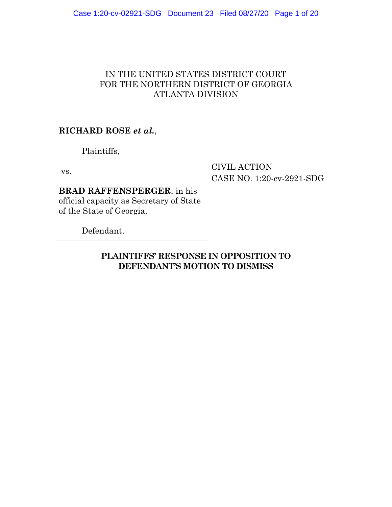# IN THE UNITED STATES DISTRICT COURT FOR THE NORTHERN DISTRICT OF GEORGIA ATLANTA DIVISION

**RICHARD ROSE** *et al.*,

Plaintiffs,

vs.

**BRAD RAFFENSPERGER**, in his official capacity as Secretary of State of the State of Georgia,

CIVIL ACTION CASE NO. 1:20-cv-2921-SDG

Defendant.

**PLAINTIFFS' RESPONSE IN OPPOSITION TO DEFENDANT'S MOTION TO DISMISS**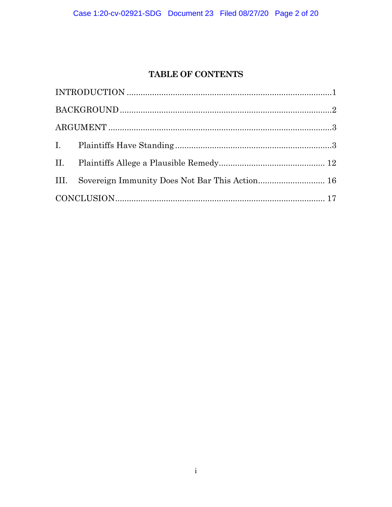# **TABLE OF CONTENTS**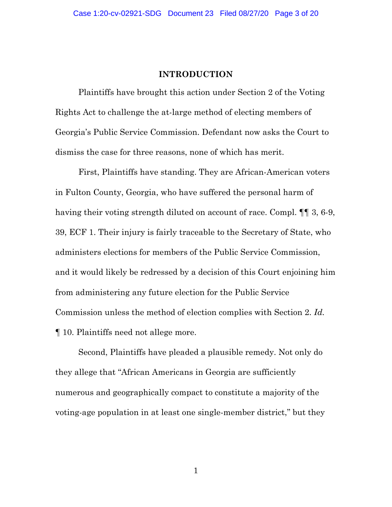### **INTRODUCTION**

<span id="page-2-0"></span>Plaintiffs have brought this action under Section 2 of the Voting Rights Act to challenge the at-large method of electing members of Georgia's Public Service Commission. Defendant now asks the Court to dismiss the case for three reasons, none of which has merit.

First, Plaintiffs have standing. They are African-American voters in Fulton County, Georgia, who have suffered the personal harm of having their voting strength diluted on account of race. Compl.  $\P\P$  3, 6-9, 39, ECF 1. Their injury is fairly traceable to the Secretary of State, who administers elections for members of the Public Service Commission, and it would likely be redressed by a decision of this Court enjoining him from administering any future election for the Public Service Commission unless the method of election complies with Section 2. *Id.* ¶ 10. Plaintiffs need not allege more.

Second, Plaintiffs have pleaded a plausible remedy. Not only do they allege that "African Americans in Georgia are sufficiently numerous and geographically compact to constitute a majority of the voting-age population in at least one single-member district," but they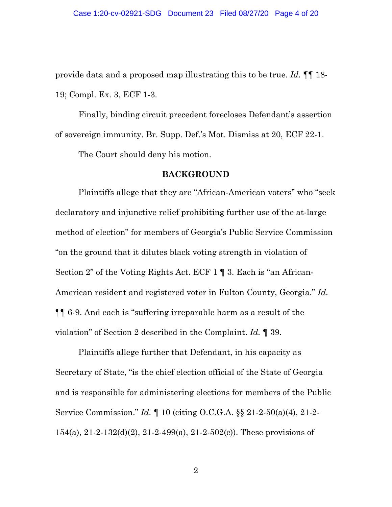provide data and a proposed map illustrating this to be true. *Id.* ¶¶ 18- 19; Compl. Ex. 3, ECF 1-3.

Finally, binding circuit precedent forecloses Defendant's assertion of sovereign immunity. Br. Supp. Def.'s Mot. Dismiss at 20, ECF 22-1.

The Court should deny his motion.

#### **BACKGROUND**

<span id="page-3-0"></span>Plaintiffs allege that they are "African-American voters" who "seek declaratory and injunctive relief prohibiting further use of the at-large method of election" for members of Georgia's Public Service Commission "on the ground that it dilutes black voting strength in violation of Section 2" of the Voting Rights Act. ECF 1 ¶ 3. Each is "an African-American resident and registered voter in Fulton County, Georgia." *Id.* ¶¶ 6-9. And each is "suffering irreparable harm as a result of the violation" of Section 2 described in the Complaint. *Id.* ¶ 39.

Plaintiffs allege further that Defendant, in his capacity as Secretary of State, "is the chief election official of the State of Georgia and is responsible for administering elections for members of the Public Service Commission." *Id.* ¶ 10 (citing O.C.G.A. §§ 21-2-50(a)(4), 21-2- 154(a), 21-2-132(d)(2), 21-2-499(a), 21-2-502(c)). These provisions of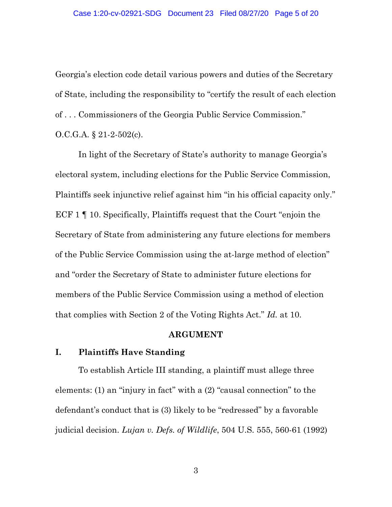Georgia's election code detail various powers and duties of the Secretary of State, including the responsibility to "certify the result of each election of . . . Commissioners of the Georgia Public Service Commission." O.C.G.A. § 21-2-502(c).

In light of the Secretary of State's authority to manage Georgia's electoral system, including elections for the Public Service Commission, Plaintiffs seek injunctive relief against him "in his official capacity only." ECF 1 ¶ 10. Specifically, Plaintiffs request that the Court "enjoin the Secretary of State from administering any future elections for members of the Public Service Commission using the at-large method of election" and "order the Secretary of State to administer future elections for members of the Public Service Commission using a method of election that complies with Section 2 of the Voting Rights Act." *Id.* at 10.

#### **ARGUMENT**

#### <span id="page-4-1"></span><span id="page-4-0"></span>**I. Plaintiffs Have Standing**

To establish Article III standing, a plaintiff must allege three elements: (1) an "injury in fact" with a (2) "causal connection" to the defendant's conduct that is (3) likely to be "redressed" by a favorable judicial decision. *Lujan v. Defs. of Wildlife*, 504 U.S. 555, 560-61 (1992)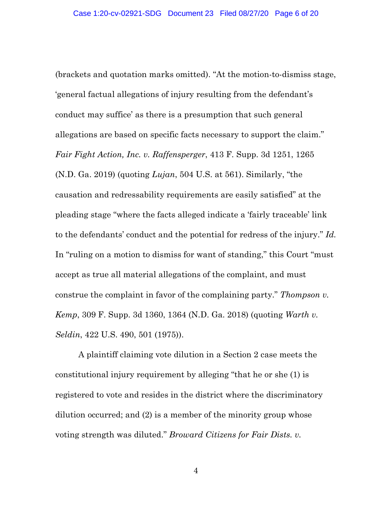(brackets and quotation marks omitted). "At the motion-to-dismiss stage, 'general factual allegations of injury resulting from the defendant's conduct may suffice' as there is a presumption that such general allegations are based on specific facts necessary to support the claim." *Fair Fight Action, Inc. v. Raffensperger*, 413 F. Supp. 3d 1251, 1265 (N.D. Ga. 2019) (quoting *Lujan*, 504 U.S. at 561). Similarly, "the causation and redressability requirements are easily satisfied" at the pleading stage "where the facts alleged indicate a 'fairly traceable' link to the defendants' conduct and the potential for redress of the injury." *Id.*  In "ruling on a motion to dismiss for want of standing," this Court "must accept as true all material allegations of the complaint, and must construe the complaint in favor of the complaining party." *Thompson v. Kemp*, 309 F. Supp. 3d 1360, 1364 (N.D. Ga. 2018) (quoting *Warth v. Seldin*, 422 U.S. 490, 501 (1975)).

A plaintiff claiming vote dilution in a Section 2 case meets the constitutional injury requirement by alleging "that he or she (1) is registered to vote and resides in the district where the discriminatory dilution occurred; and (2) is a member of the minority group whose voting strength was diluted." *Broward Citizens for Fair Dists. v.*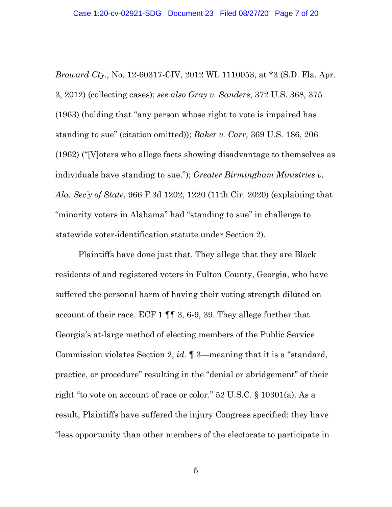*Broward Cty.*, No. 12-60317-CIV, 2012 WL 1110053, at \*3 (S.D. Fla. Apr. 3, 2012) (collecting cases); *see also Gray v. Sanders*, 372 U.S. 368, 375 (1963) (holding that "any person whose right to vote is impaired has standing to sue" (citation omitted)); *Baker v. Carr*, 369 U.S. 186, 206 (1962) ("[V]oters who allege facts showing disadvantage to themselves as individuals have standing to sue."); *Greater Birmingham Ministries v. Ala. Sec'y of State*, 966 F.3d 1202, 1220 (11th Cir. 2020) (explaining that "minority voters in Alabama" had "standing to sue" in challenge to statewide voter-identification statute under Section 2).

Plaintiffs have done just that. They allege that they are Black residents of and registered voters in Fulton County, Georgia, who have suffered the personal harm of having their voting strength diluted on account of their race. ECF 1 ¶¶ 3, 6-9, 39. They allege further that Georgia's at-large method of electing members of the Public Service Commission violates Section 2, *id.* ¶ 3—meaning that it is a "standard, practice, or procedure" resulting in the "denial or abridgement" of their right "to vote on account of race or color." 52 U.S.C. § 10301(a). As a result, Plaintiffs have suffered the injury Congress specified: they have "less opportunity than other members of the electorate to participate in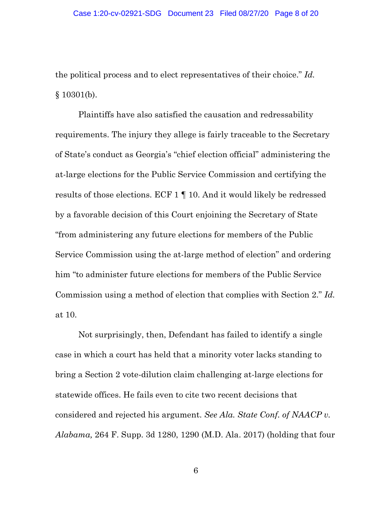the political process and to elect representatives of their choice." *Id.*  $§ 10301(b).$ 

Plaintiffs have also satisfied the causation and redressability requirements. The injury they allege is fairly traceable to the Secretary of State's conduct as Georgia's "chief election official" administering the at-large elections for the Public Service Commission and certifying the results of those elections. ECF 1 ¶ 10. And it would likely be redressed by a favorable decision of this Court enjoining the Secretary of State "from administering any future elections for members of the Public Service Commission using the at-large method of election" and ordering him "to administer future elections for members of the Public Service Commission using a method of election that complies with Section 2." *Id.* at 10.

Not surprisingly, then, Defendant has failed to identify a single case in which a court has held that a minority voter lacks standing to bring a Section 2 vote-dilution claim challenging at-large elections for statewide offices. He fails even to cite two recent decisions that considered and rejected his argument. *See Ala. State Conf. of NAACP v. Alabama,* 264 F. Supp. 3d 1280, 1290 (M.D. Ala. 2017) (holding that four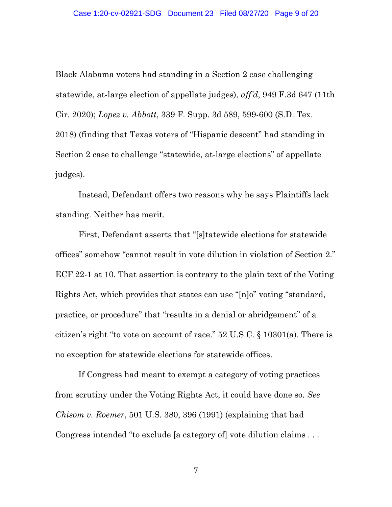Black Alabama voters had standing in a Section 2 case challenging statewide, at-large election of appellate judges), *aff'd*, 949 F.3d 647 (11th Cir. 2020); *Lopez v. Abbott*, 339 F. Supp. 3d 589, 599-600 (S.D. Tex. 2018) (finding that Texas voters of "Hispanic descent" had standing in Section 2 case to challenge "statewide, at-large elections" of appellate judges).

Instead, Defendant offers two reasons why he says Plaintiffs lack standing. Neither has merit.

First, Defendant asserts that "[s]tatewide elections for statewide offices" somehow "cannot result in vote dilution in violation of Section 2." ECF 22-1 at 10. That assertion is contrary to the plain text of the Voting Rights Act, which provides that states can use "[n]o" voting "standard, practice, or procedure" that "results in a denial or abridgement" of a citizen's right "to vote on account of race." 52 U.S.C. § 10301(a). There is no exception for statewide elections for statewide offices.

If Congress had meant to exempt a category of voting practices from scrutiny under the Voting Rights Act, it could have done so. *See Chisom v. Roemer*, 501 U.S. 380, 396 (1991) (explaining that had Congress intended "to exclude [a category of] vote dilution claims . . .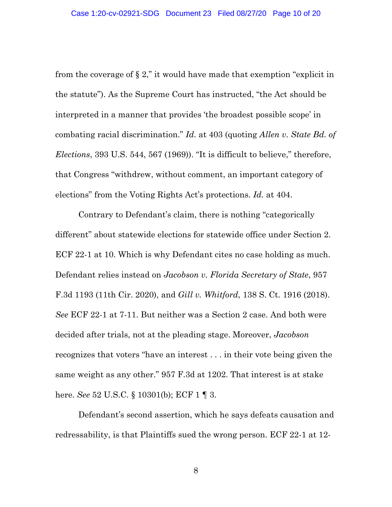from the coverage of  $\S 2$ ," it would have made that exemption "explicit in the statute"). As the Supreme Court has instructed, "the Act should be interpreted in a manner that provides 'the broadest possible scope' in combating racial discrimination." *Id.* at 403 (quoting *Allen v. State Bd. of Elections*, 393 U.S. 544, 567 (1969)). "It is difficult to believe," therefore, that Congress "withdrew, without comment, an important category of elections" from the Voting Rights Act's protections. *Id.* at 404.

Contrary to Defendant's claim, there is nothing "categorically different" about statewide elections for statewide office under Section 2. ECF 22-1 at 10. Which is why Defendant cites no case holding as much. Defendant relies instead on *Jacobson v. Florida Secretary of State*, 957 F.3d 1193 (11th Cir. 2020), and *Gill v. Whitford*, 138 S. Ct. 1916 (2018). *See* ECF 22-1 at 7-11. But neither was a Section 2 case. And both were decided after trials, not at the pleading stage. Moreover, *Jacobson* recognizes that voters "have an interest . . . in their vote being given the same weight as any other." 957 F.3d at 1202. That interest is at stake here. *See* 52 U.S.C. § 10301(b); ECF 1 ¶ 3.

Defendant's second assertion, which he says defeats causation and redressability, is that Plaintiffs sued the wrong person. ECF 22-1 at 12-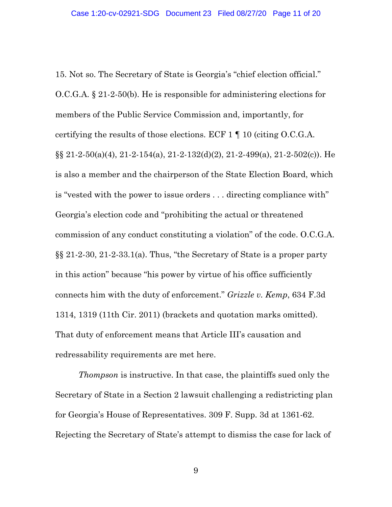15. Not so. The Secretary of State is Georgia's "chief election official." O.C.G.A. § 21-2-50(b). He is responsible for administering elections for members of the Public Service Commission and, importantly, for certifying the results of those elections. ECF 1 ¶ 10 (citing O.C.G.A.  $\S\S 21-2-50(a)(4)$ , 21-2-154(a), 21-2-132(d)(2), 21-2-499(a), 21-2-502(c)). He is also a member and the chairperson of the State Election Board, which is "vested with the power to issue orders . . . directing compliance with" Georgia's election code and "prohibiting the actual or threatened commission of any conduct constituting a violation" of the code. O.C.G.A. §§ 21-2-30, 21-2-33.1(a). Thus, "the Secretary of State is a proper party in this action" because "his power by virtue of his office sufficiently connects him with the duty of enforcement." *Grizzle v. Kemp*, 634 F.3d 1314, 1319 (11th Cir. 2011) (brackets and quotation marks omitted). That duty of enforcement means that Article III's causation and redressability requirements are met here.

*Thompson* is instructive. In that case, the plaintiffs sued only the Secretary of State in a Section 2 lawsuit challenging a redistricting plan for Georgia's House of Representatives. 309 F. Supp. 3d at 1361-62. Rejecting the Secretary of State's attempt to dismiss the case for lack of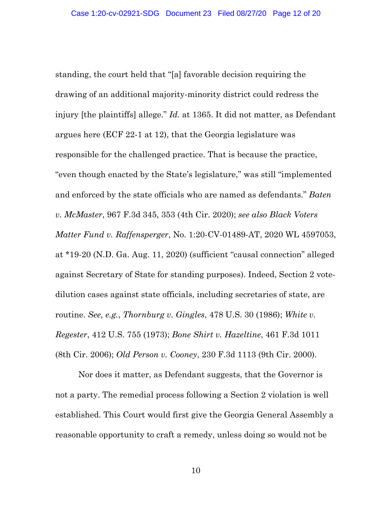standing, the court held that "[a] favorable decision requiring the drawing of an additional majority-minority district could redress the injury [the plaintiffs] allege." *Id.* at 1365. It did not matter, as Defendant argues here (ECF 22-1 at 12), that the Georgia legislature was responsible for the challenged practice. That is because the practice, "even though enacted by the State's legislature," was still "implemented and enforced by the state officials who are named as defendants." *Baten v. McMaster*, 967 F.3d 345, 353 (4th Cir. 2020); *see also Black Voters Matter Fund v. Raffensperger*, No. 1:20-CV-01489-AT, 2020 WL 4597053, at \*19-20 (N.D. Ga. Aug. 11, 2020) (sufficient "causal connection" alleged against Secretary of State for standing purposes). Indeed, Section 2 votedilution cases against state officials, including secretaries of state, are routine. *See, e.g.*, *Thornburg v. Gingles*, 478 U.S. 30 (1986); *White v. Regester*, 412 U.S. 755 (1973); *Bone Shirt v. Hazeltine*, 461 F.3d 1011 (8th Cir. 2006); *Old Person v. Cooney*, 230 F.3d 1113 (9th Cir. 2000).

Nor does it matter, as Defendant suggests, that the Governor is not a party. The remedial process following a Section 2 violation is well established. This Court would first give the Georgia General Assembly a reasonable opportunity to craft a remedy, unless doing so would not be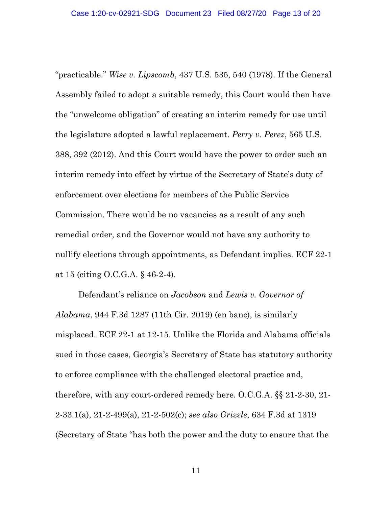"practicable." *Wise v. Lipscomb*, 437 U.S. 535, 540 (1978). If the General Assembly failed to adopt a suitable remedy, this Court would then have the "unwelcome obligation" of creating an interim remedy for use until the legislature adopted a lawful replacement. *Perry v. Perez*, 565 U.S. 388, 392 (2012). And this Court would have the power to order such an interim remedy into effect by virtue of the Secretary of State's duty of enforcement over elections for members of the Public Service Commission. There would be no vacancies as a result of any such remedial order, and the Governor would not have any authority to nullify elections through appointments, as Defendant implies. ECF 22-1 at 15 (citing O.C.G.A. § 46-2-4).

Defendant's reliance on *Jacobson* and *Lewis v. Governor of Alabama*, 944 F.3d 1287 (11th Cir. 2019) (en banc), is similarly misplaced. ECF 22-1 at 12-15. Unlike the Florida and Alabama officials sued in those cases, Georgia's Secretary of State has statutory authority to enforce compliance with the challenged electoral practice and, therefore, with any court-ordered remedy here. O.C.G.A. §§ 21-2-30, 21- 2-33.1(a), 21-2-499(a), 21-2-502(c); *see also Grizzle*, 634 F.3d at 1319 (Secretary of State "has both the power and the duty to ensure that the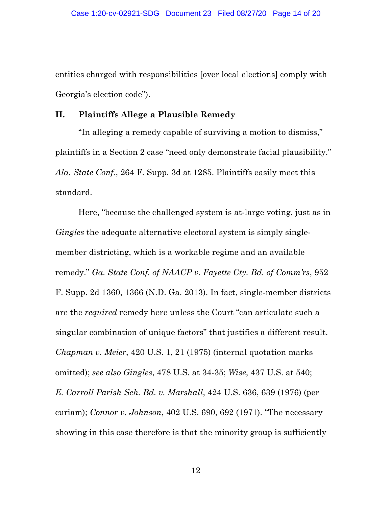entities charged with responsibilities [over local elections] comply with Georgia's election code").

### <span id="page-13-0"></span>**II. Plaintiffs Allege a Plausible Remedy**

"In alleging a remedy capable of surviving a motion to dismiss," plaintiffs in a Section 2 case "need only demonstrate facial plausibility." *Ala. State Conf.*, 264 F. Supp. 3d at 1285. Plaintiffs easily meet this standard.

Here, "because the challenged system is at-large voting, just as in *Gingles* the adequate alternative electoral system is simply singlemember districting, which is a workable regime and an available remedy." *Ga. State Conf. of NAACP v. Fayette Cty. Bd. of Comm'rs*, 952 F. Supp. 2d 1360, 1366 (N.D. Ga. 2013). In fact, single-member districts are the *required* remedy here unless the Court "can articulate such a singular combination of unique factors" that justifies a different result. *Chapman v. Meier*, 420 U.S. 1, 21 (1975) (internal quotation marks omitted); *see also Gingles*, 478 U.S. at 34-35; *Wise*, 437 U.S. at 540; *E. Carroll Parish Sch. Bd. v. Marshall*, 424 U.S. 636, 639 (1976) (per curiam); *Connor v. Johnson*, 402 U.S. 690, 692 (1971). "The necessary showing in this case therefore is that the minority group is sufficiently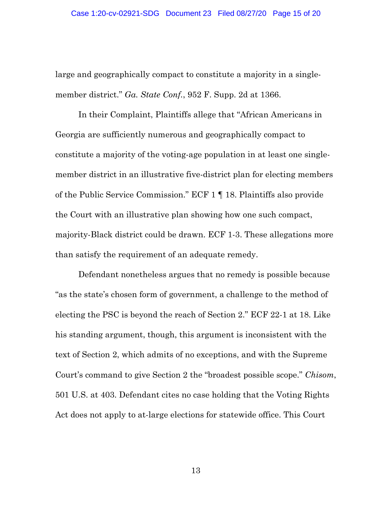large and geographically compact to constitute a majority in a singlemember district." *Ga. State Conf.*, 952 F. Supp. 2d at 1366.

In their Complaint, Plaintiffs allege that "African Americans in Georgia are sufficiently numerous and geographically compact to constitute a majority of the voting-age population in at least one singlemember district in an illustrative five-district plan for electing members of the Public Service Commission." ECF 1 ¶ 18. Plaintiffs also provide the Court with an illustrative plan showing how one such compact, majority-Black district could be drawn. ECF 1-3. These allegations more than satisfy the requirement of an adequate remedy.

Defendant nonetheless argues that no remedy is possible because "as the state's chosen form of government, a challenge to the method of electing the PSC is beyond the reach of Section 2." ECF 22-1 at 18. Like his standing argument, though, this argument is inconsistent with the text of Section 2, which admits of no exceptions, and with the Supreme Court's command to give Section 2 the "broadest possible scope." *Chisom*, 501 U.S. at 403. Defendant cites no case holding that the Voting Rights Act does not apply to at-large elections for statewide office. This Court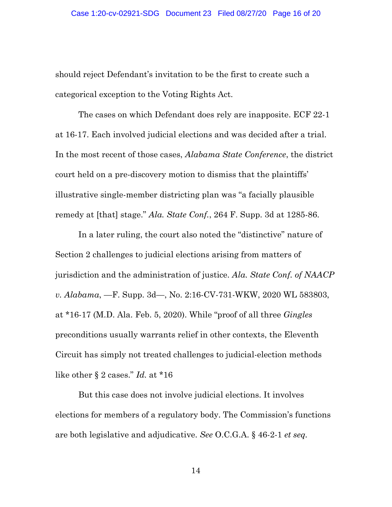should reject Defendant's invitation to be the first to create such a categorical exception to the Voting Rights Act.

The cases on which Defendant does rely are inapposite. ECF 22-1 at 16-17. Each involved judicial elections and was decided after a trial. In the most recent of those cases, *Alabama State Conference*, the district court held on a pre-discovery motion to dismiss that the plaintiffs' illustrative single-member districting plan was "a facially plausible remedy at [that] stage." *Ala. State Conf.*, 264 F. Supp. 3d at 1285-86.

In a later ruling, the court also noted the "distinctive" nature of Section 2 challenges to judicial elections arising from matters of jurisdiction and the administration of justice. *Ala. State Conf. of NAACP v. Alabama*, —F. Supp. 3d—, No. 2:16-CV-731-WKW, 2020 WL 583803, at \*16-17 (M.D. Ala. Feb. 5, 2020). While "proof of all three *Gingles* preconditions usually warrants relief in other contexts, the Eleventh Circuit has simply not treated challenges to judicial-election methods like other § 2 cases." *Id.* at \*16

But this case does not involve judicial elections. It involves elections for members of a regulatory body. The Commission's functions are both legislative and adjudicative. *See* O.C.G.A. § 46-2-1 *et seq.*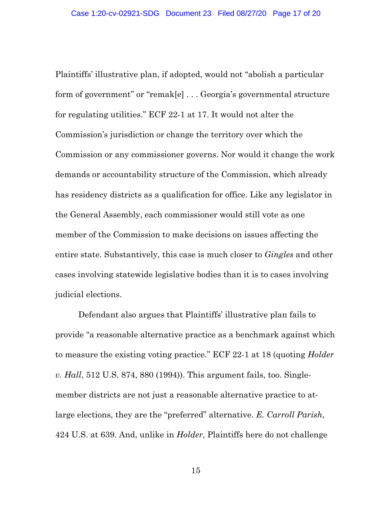Plaintiffs' illustrative plan, if adopted, would not "abolish a particular form of government" or "remak[e] . . . Georgia's governmental structure for regulating utilities." ECF 22-1 at 17. It would not alter the Commission's jurisdiction or change the territory over which the Commission or any commissioner governs. Nor would it change the work demands or accountability structure of the Commission, which already has residency districts as a qualification for office. Like any legislator in the General Assembly, each commissioner would still vote as one member of the Commission to make decisions on issues affecting the entire state. Substantively, this case is much closer to *Gingles* and other cases involving statewide legislative bodies than it is to cases involving judicial elections.

Defendant also argues that Plaintiffs' illustrative plan fails to provide "a reasonable alternative practice as a benchmark against which to measure the existing voting practice." ECF 22-1 at 18 (quoting *Holder v. Hall*, 512 U.S. 874, 880 (1994)). This argument fails, too. Singlemember districts are not just a reasonable alternative practice to atlarge elections, they are the "preferred" alternative. *E. Carroll Parish*, 424 U.S. at 639. And, unlike in *Holder*, Plaintiffs here do not challenge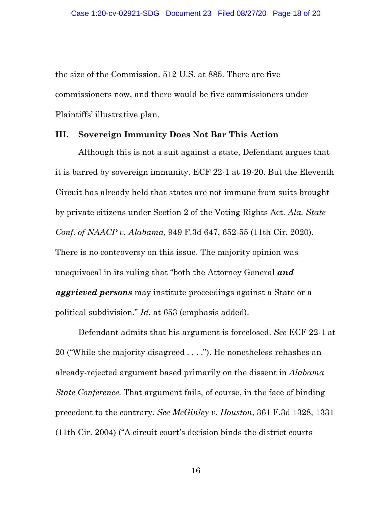the size of the Commission. 512 U.S. at 885. There are five commissioners now, and there would be five commissioners under Plaintiffs' illustrative plan.

#### <span id="page-17-0"></span>**III. Sovereign Immunity Does Not Bar This Action**

Although this is not a suit against a state, Defendant argues that it is barred by sovereign immunity. ECF 22-1 at 19-20. But the Eleventh Circuit has already held that states are not immune from suits brought by private citizens under Section 2 of the Voting Rights Act. *Ala. State Conf. of NAACP v. Alabama*, 949 F.3d 647, 652-55 (11th Cir. 2020). There is no controversy on this issue. The majority opinion was unequivocal in its ruling that "both the Attorney General *and aggrieved persons* may institute proceedings against a State or a political subdivision." *Id.* at 653 (emphasis added).

Defendant admits that his argument is foreclosed. *See* ECF 22-1 at 20 ("While the majority disagreed . . . ."). He nonetheless rehashes an already-rejected argument based primarily on the dissent in *Alabama State Conference*. That argument fails, of course, in the face of binding precedent to the contrary. *See McGinley v. Houston*, 361 F.3d 1328, 1331 (11th Cir. 2004) ("A circuit court's decision binds the district courts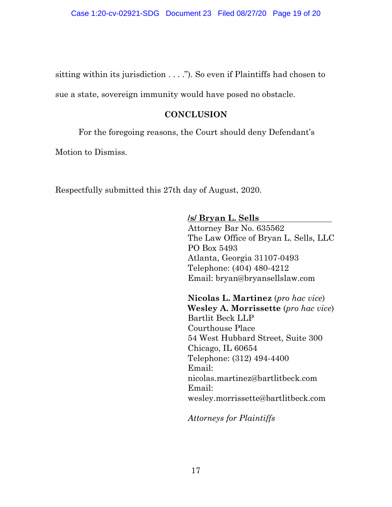sitting within its jurisdiction . . . ."). So even if Plaintiffs had chosen to

<span id="page-18-0"></span>sue a state, sovereign immunity would have posed no obstacle.

## **CONCLUSION**

For the foregoing reasons, the Court should deny Defendant's

Motion to Dismiss.

Respectfully submitted this 27th day of August, 2020.

### **/s/ Bryan L. Sells**

Attorney Bar No. 635562 The Law Office of Bryan L. Sells, LLC PO Box 5493 Atlanta, Georgia 31107-0493 Telephone: (404) 480-4212 Email: bryan@bryansellslaw.com

**Nicolas L. Martinez** (*pro hac vice*) **Wesley A. Morrissette** (*pro hac vice*) Bartlit Beck LLP Courthouse Place 54 West Hubbard Street, Suite 300 Chicago, IL 60654 Telephone: (312) 494-4400 Email: nicolas.martinez@bartlitbeck.com Email: wesley.morrissette@bartlitbeck.com

*Attorneys for Plaintiffs*